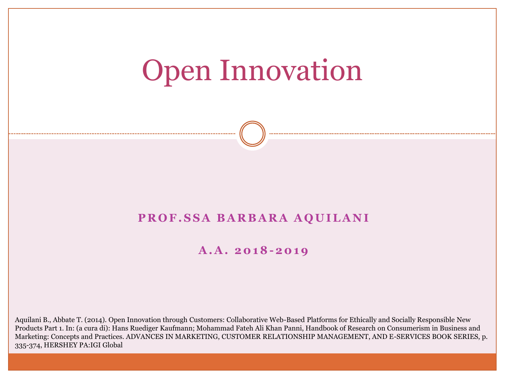# Open Innovation

#### **PROF.SSA BARBARA AQUILANI**

#### **A . A . 2 0 1 8-2 0 1 9**

Aquilani B., Abbate T. (2014). Open Innovation through Customers: Collaborative Web-Based Platforms for Ethically and Socially Responsible New Products Part 1. In: (a cura di): Hans Ruediger Kaufmann; Mohammad Fateh Ali Khan Panni, Handbook of Research on Consumerism in Business and Marketing: Concepts and Practices. ADVANCES IN MARKETING, CUSTOMER RELATIONSHIP MANAGEMENT, AND E-SERVICES BOOK SERIES, p. 335-374, HERSHEY PA:IGI Global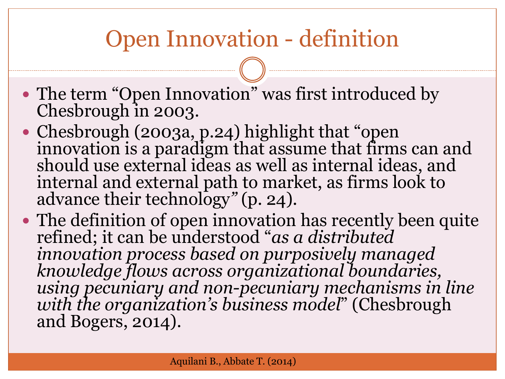# Open Innovation - definition

- The term "Open Innovation" was first introduced by Chesbrough in 2003.
- Chesbrough (2003a, p.24) highlight that "open innovation is a paradigm that assume that firms can and should use external ideas as well as internal ideas, and internal and external path to market, as firms look to advance their technology*"* (p. 24).
- The definition of open innovation has recently been quite refined; it can be understood "*as a distributed innovation process based on purposively managed knowledge flows across organizational boundaries, using pecuniary and non-pecuniary mechanisms in line with the organization's business model*" (Chesbrough and Bogers, 2014).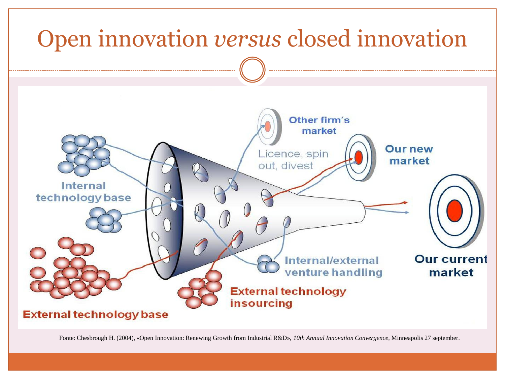

Fonte: Chesbrough H. (2004), «Open Innovation: Renewing Growth from Industrial R&D», *10th Annual Innovation Convergence*, Minneapolis 27 september.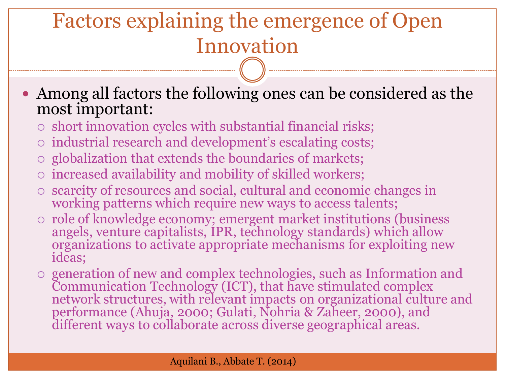# Factors explaining the emergence of Open Innovation

 Among all factors the following ones can be considered as the most important:

- $\circ$  short innovation cycles with substantial financial risks;
- o industrial research and development's escalating costs;
- $\circ$  globalization that extends the boundaries of markets;
- increased availability and mobility of skilled workers;
- scarcity of resources and social, cultural and economic changes in working patterns which require new ways to access talents;
- $\circ$  role of knowledge economy; emergent market institutions (business angels, venture capitalists, IPR, technology standards) which allow organizations to activate appropriate mechanisms for exploiting new ideas;
- generation of new and complex technologies, such as Information and Communication Technology (ICT), that have stimulated complex network structures, with relevant impacts on organizational culture and performance (Ahuja, 2000; Gulati, Nohria & Zaheer, 2000), and different ways to collaborate across diverse geographical areas.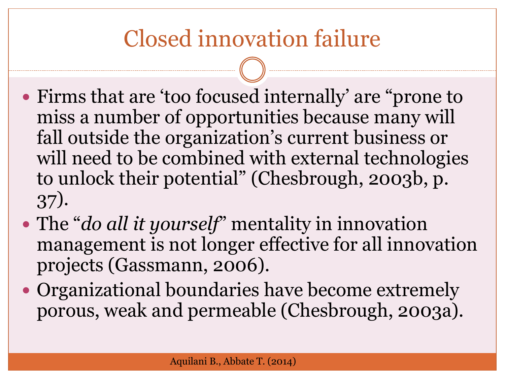# Closed innovation failure

- Firms that are 'too focused internally' are "prone to miss a number of opportunities because many will fall outside the organization's current business or will need to be combined with external technologies to unlock their potential" (Chesbrough, 2003b, p. 37).
- The "*do all it yourself*" mentality in innovation management is not longer effective for all innovation projects (Gassmann, 2006).
- Organizational boundaries have become extremely porous, weak and permeable (Chesbrough, 2003a).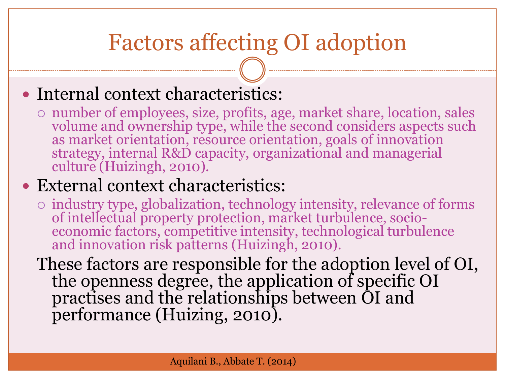# Factors affecting OI adoption

#### • Internal context characteristics:

 number of employees, size, profits, age, market share, location, sales volume and ownership type, while the second considers aspects such as market orientation, resource orientation, goals of innovation strategy, internal R&D capacity, organizational and managerial culture (Huizingh, 2010).

#### External context characteristics:

 industry type, globalization, technology intensity, relevance of forms of intellectual property protection, market turbulence, socioeconomic factors, competitive intensity, technological turbulence and innovation risk patterns (Huizingh, 2010).

These factors are responsible for the adoption level of OI, the openness degree, the application of specific OI practises and the relationships between OI and performance (Huizing, 2010).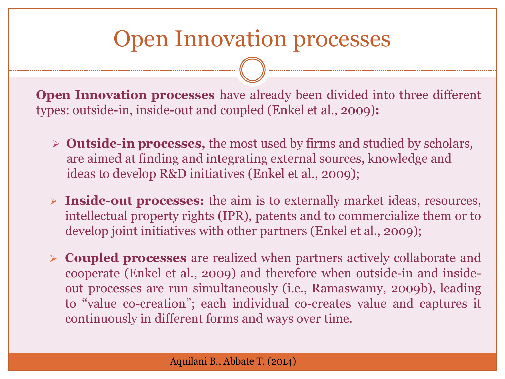### Open Innovation processes

**Open Innovation processes** have already been divided into three different types: outside-in, inside-out and coupled (Enkel et al., 2009)**:**

- **Outside-in processes,** the most used by firms and studied by scholars, are aimed at finding and integrating external sources, knowledge and ideas to develop R&D initiatives (Enkel et al., 2009);
- **Inside-out processes:** the aim is to externally market ideas, resources, intellectual property rights (IPR), patents and to commercialize them or to develop joint initiatives with other partners (Enkel et al., 2009);
- **Coupled processes** are realized when partners actively collaborate and cooperate (Enkel et al., 2009) and therefore when outside-in and insideout processes are run simultaneously (i.e., Ramaswamy, 2009b), leading to "value co-creation"; each individual co-creates value and captures it continuously in different forms and ways over time.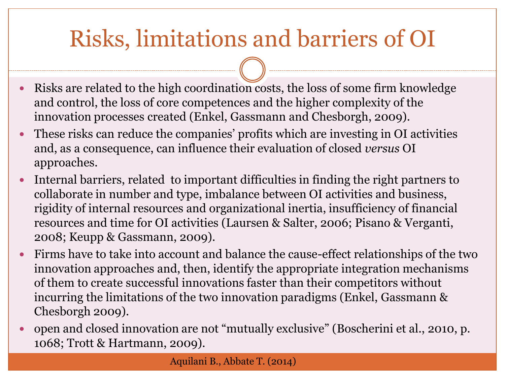# Risks, limitations and barriers of OI

- Risks are related to the high coordination costs, the loss of some firm knowledge and control, the loss of core competences and the higher complexity of the innovation processes created (Enkel, Gassmann and Chesborgh, 2009).
- These risks can reduce the companies' profits which are investing in OI activities and, as a consequence, can influence their evaluation of closed *versus* OI approaches.
- Internal barriers, related to important difficulties in finding the right partners to collaborate in number and type, imbalance between OI activities and business, rigidity of internal resources and organizational inertia, insufficiency of financial resources and time for OI activities (Laursen & Salter, 2006; Pisano & Verganti, 2008; Keupp & Gassmann, 2009).
- Firms have to take into account and balance the cause-effect relationships of the two innovation approaches and, then, identify the appropriate integration mechanisms of them to create successful innovations faster than their competitors without incurring the limitations of the two innovation paradigms (Enkel, Gassmann & Chesborgh 2009).
- open and closed innovation are not "mutually exclusive" (Boscherini et al., 2010, p. 1068; Trott & Hartmann, 2009).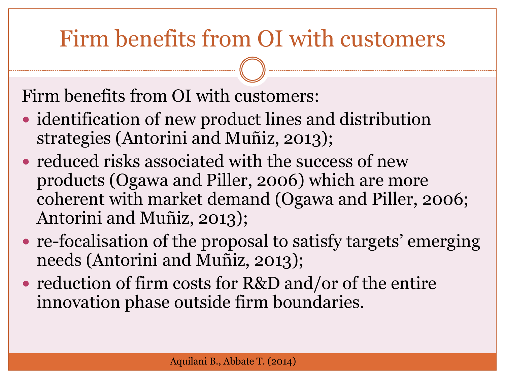# Firm benefits from OI with customers

Firm benefits from OI with customers:

- identification of new product lines and distribution strategies (Antorini and Muñiz, 2013);
- reduced risks associated with the success of new products (Ogawa and Piller, 2006) which are more coherent with market demand (Ogawa and Piller, 2006; Antorini and Muñiz, 2013);
- re-focalisation of the proposal to satisfy targets' emerging needs (Antorini and Muñiz, 2013);
- reduction of firm costs for R&D and/or of the entire innovation phase outside firm boundaries.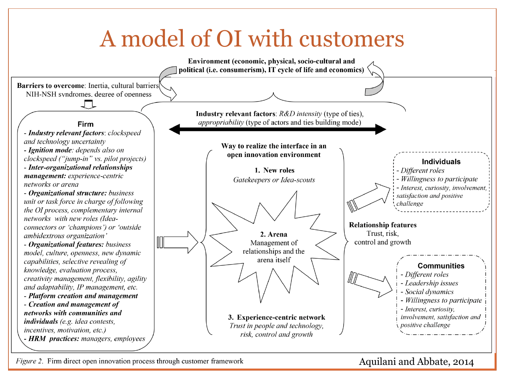# A model of OI with customers



*Figure 2.* Firm direct open innovation process through customer framework

#### Aquilani and Abbate, 2014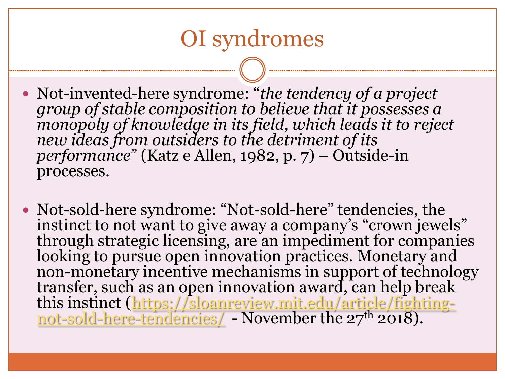### OI syndromes

- Not-invented-here syndrome: "*the tendency of a project group of stable composition to believe that it possesses a monopoly of knowledge in its field, which leads it to reject new ideas from outsiders to the detriment of its performance*" (Katz e Allen, 1982, p. 7) – Outside-in processes.
- Not-sold-here syndrome: "Not-sold-here" tendencies, the instinct to not want to give away a company's "crown jewels" through strategic licensing, are an impediment for companies looking to pursue open innovation practices. Monetary and non-monetary incentive mechanisms in support of technology transfer, such as an open innovation award, can help break this instinct [\(https://sloanreview.mit.edu/article/fighting](https://sloanreview.mit.edu/article/fighting-not-sold-here-tendencies/)[not-sold-here-tendencies/](https://sloanreview.mit.edu/article/fighting-not-sold-here-tendencies/) - November the 27<sup>th</sup> 2018).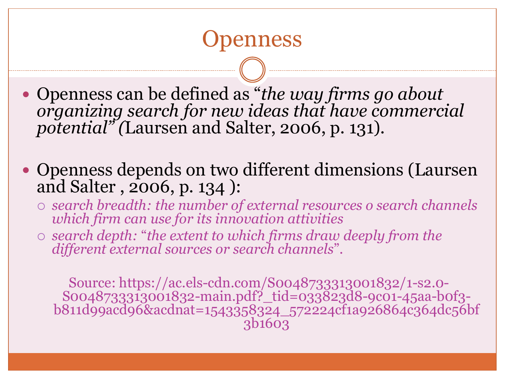#### enness

 Openness can be defined as "*the way firms go about organizing search for new ideas that have commercial potential" (*Laursen and Salter, 2006, p. 131).

• Openness depends on two different dimensions (Laursen and Salter , 2006, p. 134 ):

 *search breadth: the number of external resources o search channels which firm can use for its innovation attivities*

 *search depth:* "*the extent to which firms draw deeply from the different external sources or search channels*".

Source: https://ac.els-cdn.com/S0048733313001832/1-s2.0- S0048733313001832-main.pdf?\_tid=033823d8-9c01-45aa-b0f3 b811d99acd96&acdnat=1543358324\_572224cf1a926864c364dc56bf 3b1603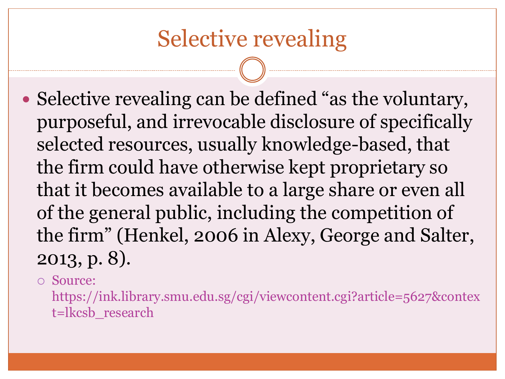## Selective revealing

• Selective revealing can be defined "as the voluntary, purposeful, and irrevocable disclosure of specifically selected resources, usually knowledge-based, that the firm could have otherwise kept proprietary so that it becomes available to a large share or even all of the general public, including the competition of the firm" (Henkel, 2006 in Alexy, George and Salter, 2013, p. 8).

Source:

https://ink.library.smu.edu.sg/cgi/viewcontent.cgi?article=5627&contex t=lkcsb\_research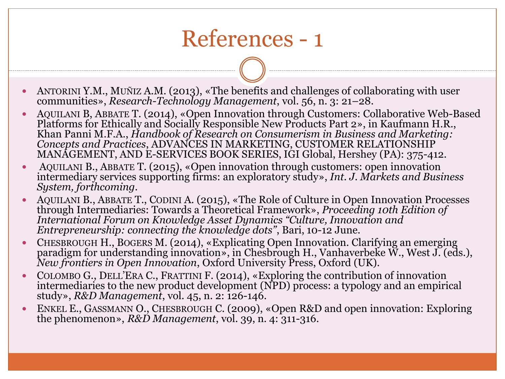## References - 1

- ANTORINI Y.M., MUÑIZ A.M. (2013), «The benefits and challenges of collaborating with user communities», *Research-Technology Management*, vol. 56, n. 3: 21–28.
- AQUILANI B, ABBATE T. (2014), «Open Innovation through Customers: Collaborative Web-Based Platforms for Ethically and Socially Responsible New Products Part 2», in Kaufmann H.R., Khan Panni M.F.A., *Handbook of Research on Consumerism in Business and Marketing: Concepts and Practices*, ADVANCES IN MARKETING, CUSTOMER RELATIONSHIP MANAGEMENT, AND E-SERVICES BOOK SERIES, IGI Global, Hershey (PA): 375-412.
- AQUILANI B., ABBATE T. (2015), «Open innovation through customers: open innovation intermediary services supporting firms: an exploratory study», *Int. J. Markets and Business System, forthcoming.*
- AQUILANI B., ABBATE T., CODINI A. (2015), «The Role of Culture in Open Innovation Processes through Intermediaries: Towards a Theoretical Framework», *Proceeding 10th Edition of International Forum on Knowledge Asset Dynamics "Culture, Innovation and Entrepreneurship: connecting the knowledge dots"*, Bari, 10-12 June.
- CHESBROUGH H., BOGERS M. (2014), «Explicating Open Innovation. Clarifying an emerging paradigm for understanding innovation», in Chesbrough H., Vanhaverbeke W., West J. (eds.), *New frontiers in Open Innovation*, Oxford University Press, Oxford (UK).
- COLOMBO G., DELL'ERA C., FRATTINI F. (2014), «Exploring the contribution of innovation intermediaries to the new product development (NPD) process: a typology and an empirical study», *R&D Management*, vol. 45, n. 2: 126-146.
- ENKEL E., GASSMANN O., CHESBROUGH C. (2009), «Open R&D and open innovation: Exploring the phenomenon», *R&D Management*, vol. 39, n. 4: 311-316.